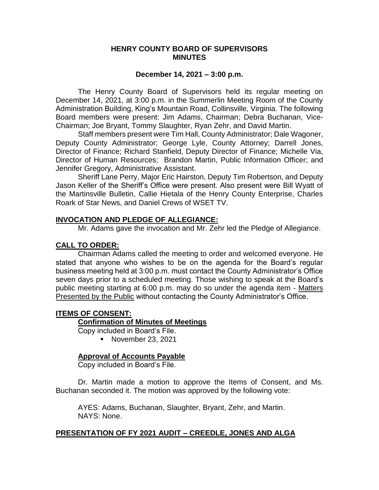### **HENRY COUNTY BOARD OF SUPERVISORS MINUTES**

#### **December 14, 2021 – 3:00 p.m.**

The Henry County Board of Supervisors held its regular meeting on December 14, 2021, at 3:00 p.m. in the Summerlin Meeting Room of the County Administration Building, King's Mountain Road, Collinsville, Virginia. The following Board members were present: Jim Adams, Chairman; Debra Buchanan, Vice-Chairman; Joe Bryant, Tommy Slaughter, Ryan Zehr, and David Martin.

Staff members present were Tim Hall, County Administrator; Dale Wagoner, Deputy County Administrator; George Lyle, County Attorney; Darrell Jones, Director of Finance; Richard Stanfield, Deputy Director of Finance; Michelle Via, Director of Human Resources; Brandon Martin, Public Information Officer; and Jennifer Gregory, Administrative Assistant.

Sheriff Lane Perry, Major Eric Hairston, Deputy Tim Robertson, and Deputy Jason Keller of the Sheriff's Office were present. Also present were Bill Wyatt of the Martinsville Bulletin, Callie Hietala of the Henry County Enterprise, Charles Roark of Star News, and Daniel Crews of WSET TV.

#### **INVOCATION AND PLEDGE OF ALLEGIANCE:**

Mr. Adams gave the invocation and Mr. Zehr led the Pledge of Allegiance.

### **CALL TO ORDER:**

Chairman Adams called the meeting to order and welcomed everyone. He stated that anyone who wishes to be on the agenda for the Board's regular business meeting held at 3:00 p.m. must contact the County Administrator's Office seven days prior to a scheduled meeting. Those wishing to speak at the Board's public meeting starting at 6:00 p.m. may do so under the agenda item - Matters Presented by the Public without contacting the County Administrator's Office.

#### **ITEMS OF CONSENT:**

#### **Confirmation of Minutes of Meetings**

Copy included in Board's File.

**November 23, 2021** 

#### **Approval of Accounts Payable**

Copy included in Board's File.

Dr. Martin made a motion to approve the Items of Consent, and Ms. Buchanan seconded it. The motion was approved by the following vote:

AYES: Adams, Buchanan, Slaughter, Bryant, Zehr, and Martin. NAYS: None.

#### **PRESENTATION OF FY 2021 AUDIT – CREEDLE, JONES AND ALGA**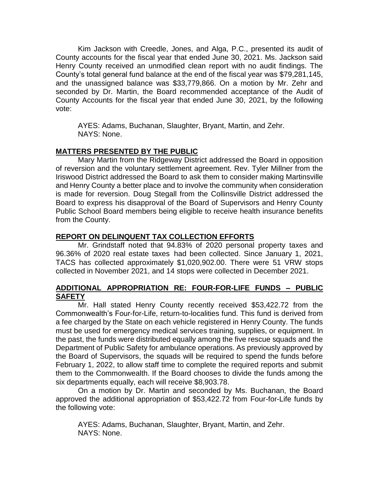Kim Jackson with Creedle, Jones, and Alga, P.C., presented its audit of County accounts for the fiscal year that ended June 30, 2021. Ms. Jackson said Henry County received an unmodified clean report with no audit findings. The County's total general fund balance at the end of the fiscal year was \$79,281,145, and the unassigned balance was \$33,779,866. On a motion by Mr. Zehr and seconded by Dr. Martin, the Board recommended acceptance of the Audit of County Accounts for the fiscal year that ended June 30, 2021, by the following vote:

AYES: Adams, Buchanan, Slaughter, Bryant, Martin, and Zehr. NAYS: None.

## **MATTERS PRESENTED BY THE PUBLIC**

Mary Martin from the Ridgeway District addressed the Board in opposition of reversion and the voluntary settlement agreement. Rev. Tyler Millner from the Iriswood District addressed the Board to ask them to consider making Martinsville and Henry County a better place and to involve the community when consideration is made for reversion. Doug Stegall from the Collinsville District addressed the Board to express his disapproval of the Board of Supervisors and Henry County Public School Board members being eligible to receive health insurance benefits from the County.

## **REPORT ON DELINQUENT TAX COLLECTION EFFORTS**

Mr. Grindstaff noted that 94.83% of 2020 personal property taxes and 96.36% of 2020 real estate taxes had been collected. Since January 1, 2021, TACS has collected approximately \$1,020,902.00. There were 51 VRW stops collected in November 2021, and 14 stops were collected in December 2021.

## **ADDITIONAL APPROPRIATION RE: FOUR-FOR-LIFE FUNDS – PUBLIC SAFETY**

Mr. Hall stated Henry County recently received \$53,422.72 from the Commonwealth's Four-for-Life, return-to-localities fund. This fund is derived from a fee charged by the State on each vehicle registered in Henry County. The funds must be used for emergency medical services training, supplies, or equipment. In the past, the funds were distributed equally among the five rescue squads and the Department of Public Safety for ambulance operations. As previously approved by the Board of Supervisors, the squads will be required to spend the funds before February 1, 2022, to allow staff time to complete the required reports and submit them to the Commonwealth. If the Board chooses to divide the funds among the six departments equally, each will receive \$8,903.78.

On a motion by Dr. Martin and seconded by Ms. Buchanan, the Board approved the additional appropriation of \$53,422.72 from Four-for-Life funds by the following vote:

AYES: Adams, Buchanan, Slaughter, Bryant, Martin, and Zehr. NAYS: None.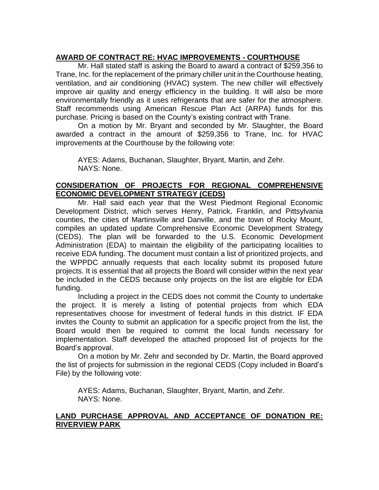# **AWARD OF CONTRACT RE: HVAC IMPROVEMENTS - COURTHOUSE**

Mr. Hall stated staff is asking the Board to award a contract of \$259,356 to Trane, Inc. for the replacement of the primary chiller unit in the Courthouse heating, ventilation, and air conditioning (HVAC) system. The new chiller will effectively improve air quality and energy efficiency in the building. It will also be more environmentally friendly as it uses refrigerants that are safer for the atmosphere. Staff recommends using American Rescue Plan Act (ARPA) funds for this purchase. Pricing is based on the County's existing contract with Trane.

On a motion by Mr. Bryant and seconded by Mr. Slaughter, the Board awarded a contract in the amount of \$259,356 to Trane, Inc. for HVAC improvements at the Courthouse by the following vote:

AYES: Adams, Buchanan, Slaughter, Bryant, Martin, and Zehr. NAYS: None.

## **CONSIDERATION OF PROJECTS FOR REGIONAL COMPREHENSIVE ECONOMIC DEVELOPMENT STRATEGY (CEDS)**

Mr. Hall said each year that the West Piedmont Regional Economic Development District, which serves Henry, Patrick, Franklin, and Pittsylvania counties, the cities of Martinsville and Danville, and the town of Rocky Mount, compiles an updated update Comprehensive Economic Development Strategy (CEDS). The plan will be forwarded to the U.S. Economic Development Administration (EDA) to maintain the eligibility of the participating localities to receive EDA funding. The document must contain a list of prioritized projects, and the WPPDC annually requests that each locality submit its proposed future projects. It is essential that all projects the Board will consider within the next year be included in the CEDS because only projects on the list are eligible for EDA funding.

Including a project in the CEDS does not commit the County to undertake the project. It is merely a listing of potential projects from which EDA representatives choose for investment of federal funds in this district. IF EDA invites the County to submit an application for a specific project from the list, the Board would then be required to commit the local funds necessary for implementation. Staff developed the attached proposed list of projects for the Board's approval.

On a motion by Mr. Zehr and seconded by Dr. Martin, the Board approved the list of projects for submission in the regional CEDS (Copy included in Board's File) by the following vote:

AYES: Adams, Buchanan, Slaughter, Bryant, Martin, and Zehr. NAYS: None.

# **LAND PURCHASE APPROVAL AND ACCEPTANCE OF DONATION RE: RIVERVIEW PARK**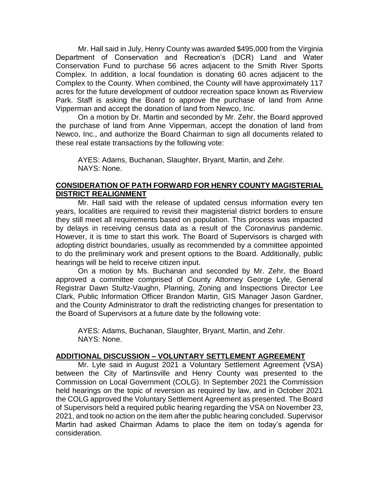Mr. Hall said in July, Henry County was awarded \$495,000 from the Virginia Department of Conservation and Recreation's (DCR) Land and Water Conservation Fund to purchase 56 acres adjacent to the Smith River Sports Complex. In addition, a local foundation is donating 60 acres adjacent to the Complex to the County. When combined, the County will have approximately 117 acres for the future development of outdoor recreation space known as Riverview Park. Staff is asking the Board to approve the purchase of land from Anne Vipperman and accept the donation of land from Newco, Inc.

On a motion by Dr. Martin and seconded by Mr. Zehr, the Board approved the purchase of land from Anne Vipperman, accept the donation of land from Newco, Inc., and authorize the Board Chairman to sign all documents related to these real estate transactions by the following vote:

AYES: Adams, Buchanan, Slaughter, Bryant, Martin, and Zehr. NAYS: None.

### **CONSIDERATION OF PATH FORWARD FOR HENRY COUNTY MAGISTERIAL DISTRICT REALIGNMENT**

Mr. Hall said with the release of updated census information every ten years, localities are required to revisit their magisterial district borders to ensure they still meet all requirements based on population. This process was impacted by delays in receiving census data as a result of the Coronavirus pandemic. However, it is time to start this work. The Board of Supervisors is charged with adopting district boundaries, usually as recommended by a committee appointed to do the preliminary work and present options to the Board. Additionally, public hearings will be held to receive citizen input.

On a motion by Ms. Buchanan and seconded by Mr. Zehr, the Board approved a committee comprised of County Attorney George Lyle, General Registrar Dawn Stultz-Vaughn, Planning, Zoning and Inspections Director Lee Clark, Public Information Officer Brandon Martin, GIS Manager Jason Gardner, and the County Administrator to draft the redistricting changes for presentation to the Board of Supervisors at a future date by the following vote:

AYES: Adams, Buchanan, Slaughter, Bryant, Martin, and Zehr. NAYS: None.

## **ADDITIONAL DISCUSSION – VOLUNTARY SETTLEMENT AGREEMENT**

Mr. Lyle said in August 2021 a Voluntary Settlement Agreement (VSA) between the City of Martinsville and Henry County was presented to the Commission on Local Government (COLG). In September 2021 the Commission held hearings on the topic of reversion as required by law, and in October 2021 the COLG approved the Voluntary Settlement Agreement as presented. The Board of Supervisors held a required public hearing regarding the VSA on November 23, 2021, and took no action on the item after the public hearing concluded. Supervisor Martin had asked Chairman Adams to place the item on today's agenda for consideration.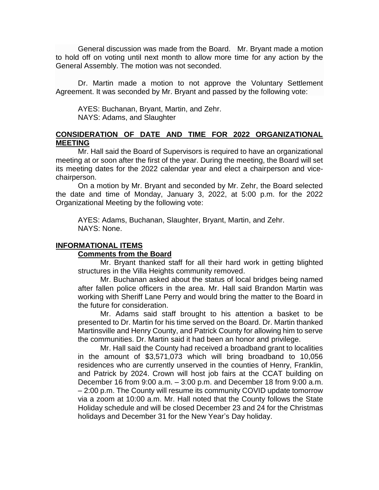General discussion was made from the Board. Mr. Bryant made a motion to hold off on voting until next month to allow more time for any action by the General Assembly. The motion was not seconded.

Dr. Martin made a motion to not approve the Voluntary Settlement Agreement. It was seconded by Mr. Bryant and passed by the following vote:

AYES: Buchanan, Bryant, Martin, and Zehr. NAYS: Adams, and Slaughter

### **CONSIDERATION OF DATE AND TIME FOR 2022 ORGANIZATIONAL MEETING**

Mr. Hall said the Board of Supervisors is required to have an organizational meeting at or soon after the first of the year. During the meeting, the Board will set its meeting dates for the 2022 calendar year and elect a chairperson and vicechairperson.

On a motion by Mr. Bryant and seconded by Mr. Zehr, the Board selected the date and time of Monday, January 3, 2022, at 5:00 p.m. for the 2022 Organizational Meeting by the following vote:

AYES: Adams, Buchanan, Slaughter, Bryant, Martin, and Zehr. NAYS: None.

#### **INFORMATIONAL ITEMS**

#### **Comments from the Board**

Mr. Bryant thanked staff for all their hard work in getting blighted structures in the Villa Heights community removed.

Mr. Buchanan asked about the status of local bridges being named after fallen police officers in the area. Mr. Hall said Brandon Martin was working with Sheriff Lane Perry and would bring the matter to the Board in the future for consideration.

Mr. Adams said staff brought to his attention a basket to be presented to Dr. Martin for his time served on the Board. Dr. Martin thanked Martinsville and Henry County, and Patrick County for allowing him to serve the communities. Dr. Martin said it had been an honor and privilege.

Mr. Hall said the County had received a broadband grant to localities in the amount of \$3,571,073 which will bring broadband to 10,056 residences who are currently unserved in the counties of Henry, Franklin, and Patrick by 2024. Crown will host job fairs at the CCAT building on December 16 from 9:00 a.m. – 3:00 p.m. and December 18 from 9:00 a.m. – 2:00 p.m. The County will resume its community COVID update tomorrow via a zoom at 10:00 a.m. Mr. Hall noted that the County follows the State Holiday schedule and will be closed December 23 and 24 for the Christmas holidays and December 31 for the New Year's Day holiday.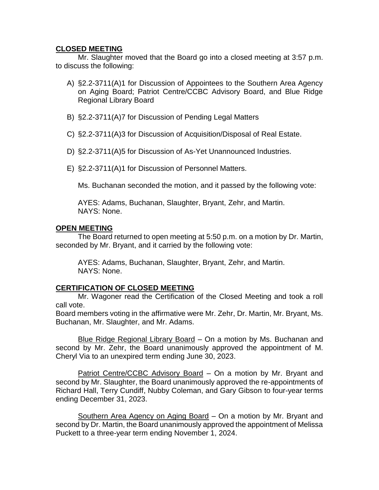## **CLOSED MEETING**

Mr. Slaughter moved that the Board go into a closed meeting at 3:57 p.m. to discuss the following:

- A) §2.2-3711(A)1 for Discussion of Appointees to the Southern Area Agency on Aging Board; Patriot Centre/CCBC Advisory Board, and Blue Ridge Regional Library Board
- B) §2.2-3711(A)7 for Discussion of Pending Legal Matters
- C) §2.2-3711(A)3 for Discussion of Acquisition/Disposal of Real Estate.
- D) §2.2-3711(A)5 for Discussion of As-Yet Unannounced Industries.
- E) §2.2-3711(A)1 for Discussion of Personnel Matters.

Ms. Buchanan seconded the motion, and it passed by the following vote:

AYES: Adams, Buchanan, Slaughter, Bryant, Zehr, and Martin. NAYS: None.

### **OPEN MEETING**

The Board returned to open meeting at 5:50 p.m. on a motion by Dr. Martin, seconded by Mr. Bryant, and it carried by the following vote:

AYES: Adams, Buchanan, Slaughter, Bryant, Zehr, and Martin. NAYS: None.

## **CERTIFICATION OF CLOSED MEETING**

Mr. Wagoner read the Certification of the Closed Meeting and took a roll call vote.

Board members voting in the affirmative were Mr. Zehr, Dr. Martin, Mr. Bryant, Ms. Buchanan, Mr. Slaughter, and Mr. Adams.

Blue Ridge Regional Library Board – On a motion by Ms. Buchanan and second by Mr. Zehr, the Board unanimously approved the appointment of M. Cheryl Via to an unexpired term ending June 30, 2023.

Patriot Centre/CCBC Advisory Board – On a motion by Mr. Bryant and second by Mr. Slaughter, the Board unanimously approved the re-appointments of Richard Hall, Terry Cundiff, Nubby Coleman, and Gary Gibson to four-year terms ending December 31, 2023.

Southern Area Agency on Aging Board – On a motion by Mr. Bryant and second by Dr. Martin, the Board unanimously approved the appointment of Melissa Puckett to a three-year term ending November 1, 2024.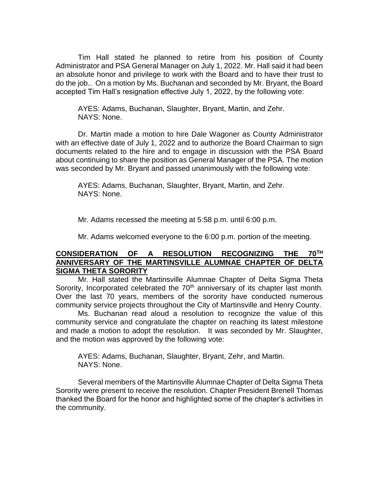Tim Hall stated he planned to retire from his position of County Administrator and PSA General Manager on July 1, 2022. Mr. Hall said it had been an absolute honor and privilege to work with the Board and to have their trust to do the job.. On a motion by Ms. Buchanan and seconded by Mr. Bryant, the Board accepted Tim Hall's resignation effective July 1, 2022, by the following vote:

AYES: Adams, Buchanan, Slaughter, Bryant, Martin, and Zehr. NAYS: None.

Dr. Martin made a motion to hire Dale Wagoner as County Administrator with an effective date of July 1, 2022 and to authorize the Board Chairman to sign documents related to the hire and to engage in discussion with the PSA Board about continuing to share the position as General Manager of the PSA. The motion was seconded by Mr. Bryant and passed unanimously with the following vote:

AYES: Adams, Buchanan, Slaughter, Bryant, Martin, and Zehr. NAYS: None.

Mr. Adams recessed the meeting at 5:58 p.m. until 6:00 p.m.

Mr. Adams welcomed everyone to the 6:00 p.m. portion of the meeting.

## **CONSIDERATION OF A RESOLUTION RECOGNIZING THE 70TH ANNIVERSARY OF THE MARTINSVILLE ALUMNAE CHAPTER OF DELTA SIGMA THETA SORORITY**

Mr. Hall stated the Martinsville Alumnae Chapter of Delta Sigma Theta Sorority, Incorporated celebrated the 70<sup>th</sup> anniversary of its chapter last month. Over the last 70 years, members of the sorority have conducted numerous community service projects throughout the City of Martinsville and Henry County.

Ms. Buchanan read aloud a resolution to recognize the value of this community service and congratulate the chapter on reaching its latest milestone and made a motion to adopt the resolution. It was seconded by Mr. Slaughter, and the motion was approved by the following vote:

AYES: Adams, Buchanan, Slaughter, Bryant, Zehr, and Martin. NAYS: None.

Several members of the Martinsville Alumnae Chapter of Delta Sigma Theta Sorority were present to receive the resolution. Chapter President Brenell Thomas thanked the Board for the honor and highlighted some of the chapter's activities in the community.